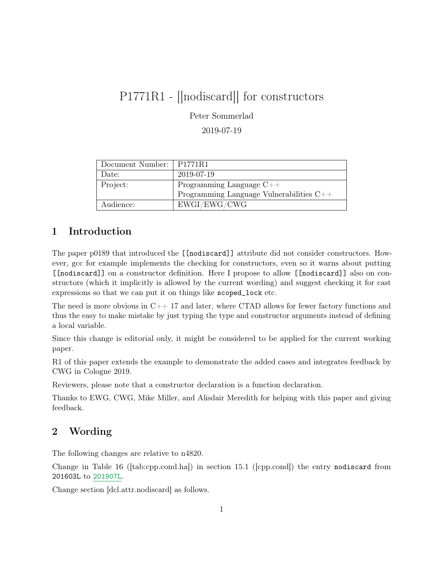## P1771R1 - [[nodiscard]] for constructors

Peter Sommerlad

2019-07-19

| Document Number:   P1771R1 |                                            |
|----------------------------|--------------------------------------------|
| Date:                      | 2019-07-19                                 |
| Project:                   | Programming Language $C++$                 |
|                            | Programming Language Vulnerabilities $C++$ |
| Audience:                  | EWGI/EWG/CWG                               |

## 1 Introduction

The paper p0189 that introduced the [[nodiscard]] attribute did not consider constructors. However, gcc for example implements the checking for constructors, even so it warns about putting [[nodiscard]] on a constructor definition. Here I propose to allow [[nodiscard]] also on constructors (which it implicitly is allowed by the current wording) and suggest checking it for cast expressions so that we can put it on things like scoped\_lock etc.

The need is more obvious in  $C_{++}$  17 and later, where CTAD allows for fewer factory functions and thus the easy to make mistake by just typing the type and constructor arguments instead of defining a local variable.

Since this change is editorial only, it might be considered to be applied for the current working paper.

R1 of this paper extends the example to demonstrate the added cases and integrates feedback by CWG in Cologne 2019.

Reviewers, please note that a constructor declaration is a function declaration.

Thanks to EWG, CWG, Mike Miller, and Alisdair Meredith for helping with this paper and giving feedback.

## 2 Wording

The following changes are relative to n4820.

Change in Table 16 ([tab:cpp.cond.ha]) in section 15.1 ([cpp.cond]) the entry nodiscard from 201603L to 201907L.

Change section [dcl.attr.nodiscard] as follows.